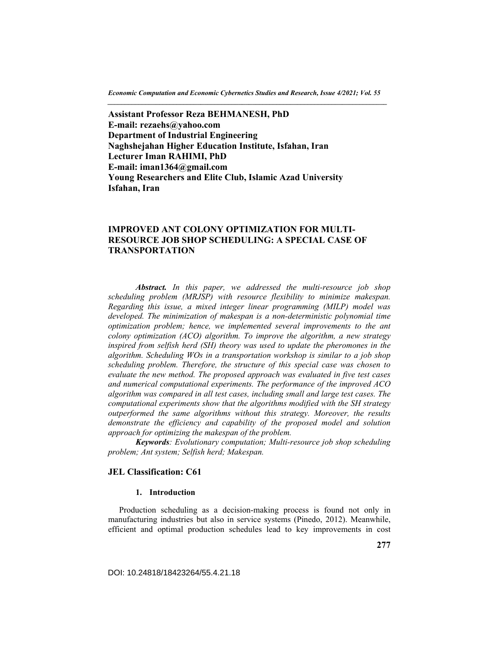*Economic Computation and Economic Cybernetics Studies and Research, Issue 4/2021; Vol. 55 \_\_\_\_\_\_\_\_\_\_\_\_\_\_\_\_\_\_\_\_\_\_\_\_\_\_\_\_\_\_\_\_\_\_\_\_\_\_\_\_\_\_\_\_\_\_\_\_\_\_\_\_\_\_\_\_\_\_\_\_\_\_\_\_\_\_\_\_\_\_\_\_\_\_\_\_\_\_\_\_\_* 

**Assistant Professor Reza BEHMANESH, PhD E-mail: rezaehs@yahoo.com Department of Industrial Engineering Naghshejahan Higher Education Institute, Isfahan, Iran Lecturer Iman RAHIMI, PhD E-mail: iman1364@gmail.com Young Researchers and Elite Club, Islamic Azad University Isfahan, Iran** 

# **IMPROVED ANT COLONY OPTIMIZATION FOR MULTI-RESOURCE JOB SHOP SCHEDULING: A SPECIAL CASE OF TRANSPORTATION**

*Abstract. In this paper, we addressed the multi-resource job shop scheduling problem (MRJSP) with resource flexibility to minimize makespan. Regarding this issue, a mixed integer linear programming (MILP) model was*  developed. The minimization of makespan is a non-deterministic polynomial time *optimization problem; hence, we implemented several improvements to the ant colony optimization (ACO) algorithm. To improve the algorithm, a new strategy*  inspired from selfish herd (SH) theory was used to update the pheromones in the *algorithm. Scheduling WOs in a transportation workshop is similar to a job shop scheduling problem. Therefore, the structure of this special case was chosen to evaluate the new method. The proposed approach was evaluated in five test cases and numerical computational experiments. The performance of the improved ACO algorithm was compared in all test cases, including small and large test cases. The computational experiments show that the algorithms modified with the SH strategy outperformed the same algorithms without this strategy. Moreover, the results*  demonstrate the efficiency and capability of the proposed model and solution *approach for optimizing the makespan of the problem.* 

*Keywords: Evolutionary computation; Multi-resource job shop scheduling problem; Ant system; Selfish herd; Makespan.*

### **JEL Classification: C61**

### **1. Introduction**

Production scheduling as a decision-making process is found not only in manufacturing industries but also in service systems (Pinedo, 2012). Meanwhile, efficient and optimal production schedules lead to key improvements in cost

DOI: 10.24818/18423264/55.4.21.18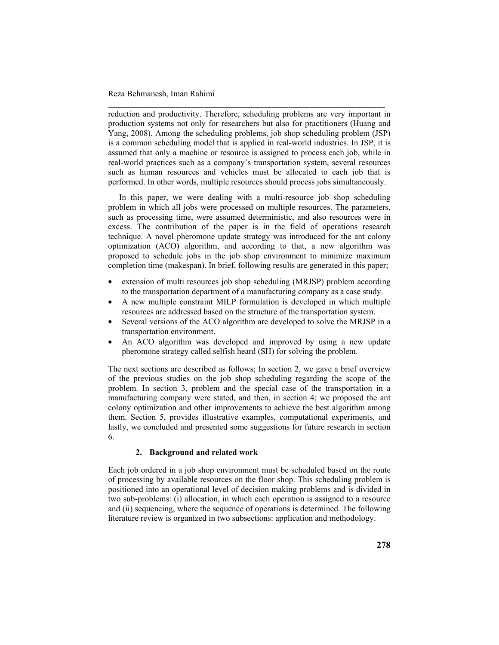reduction and productivity. Therefore, scheduling problems are very important in production systems not only for researchers but also for practitioners (Huang and Yang, 2008). Among the scheduling problems, job shop scheduling problem (JSP) is a common scheduling model that is applied in real-world industries. In JSP, it is assumed that only a machine or resource is assigned to process each job, while in real-world practices such as a company's transportation system, several resources such as human resources and vehicles must be allocated to each job that is performed. In other words, multiple resources should process jobs simultaneously.

\_\_\_\_\_\_\_\_\_\_\_\_\_\_\_\_\_\_\_\_\_\_\_\_\_\_\_\_\_\_\_\_\_\_\_\_\_\_\_\_\_\_\_\_\_\_\_\_\_\_\_\_\_\_\_\_\_\_\_\_\_\_\_\_\_\_

In this paper, we were dealing with a multi-resource job shop scheduling problem in which all jobs were processed on multiple resources. The parameters, such as processing time, were assumed deterministic, and also resources were in excess. The contribution of the paper is in the field of operations research technique. A novel pheromone update strategy was introduced for the ant colony optimization (ACO) algorithm, and according to that, a new algorithm was proposed to schedule jobs in the job shop environment to minimize maximum completion time (makespan). In brief, following results are generated in this paper;

- extension of multi resources job shop scheduling (MRJSP) problem according to the transportation department of a manufacturing company as a case study.
- A new multiple constraint MILP formulation is developed in which multiple resources are addressed based on the structure of the transportation system.
- Several versions of the ACO algorithm are developed to solve the MRJSP in a transportation environment.
- An ACO algorithm was developed and improved by using a new update pheromone strategy called selfish heard (SH) for solving the problem.

The next sections are described as follows; In section 2, we gave a brief overview of the previous studies on the job shop scheduling regarding the scope of the problem. In section 3, problem and the special case of the transportation in a manufacturing company were stated, and then, in section 4; we proposed the ant colony optimization and other improvements to achieve the best algorithm among them. Section 5, provides illustrative examples, computational experiments, and lastly, we concluded and presented some suggestions for future research in section 6.

## **2. Background and related work**

Each job ordered in a job shop environment must be scheduled based on the route of processing by available resources on the floor shop. This scheduling problem is positioned into an operational level of decision making problems and is divided in two sub-problems: (i) allocation, in which each operation is assigned to a resource and (ii) sequencing, where the sequence of operations is determined. The following literature review is organized in two subsections: application and methodology.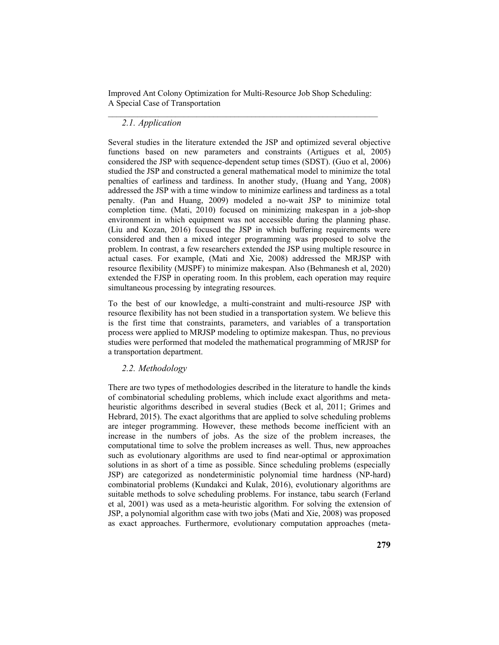## *2.1. Application*

Several studies in the literature extended the JSP and optimized several objective functions based on new parameters and constraints (Artigues et al, 2005) considered the JSP with sequence-dependent setup times (SDST). (Guo et al, 2006) studied the JSP and constructed a general mathematical model to minimize the total penalties of earliness and tardiness. In another study, (Huang and Yang, 2008) addressed the JSP with a time window to minimize earliness and tardiness as a total penalty. (Pan and Huang, 2009) modeled a no-wait JSP to minimize total completion time. (Mati, 2010) focused on minimizing makespan in a job-shop environment in which equipment was not accessible during the planning phase. (Liu and Kozan, 2016) focused the JSP in which buffering requirements were considered and then a mixed integer programming was proposed to solve the problem. In contrast, a few researchers extended the JSP using multiple resource in actual cases. For example, (Mati and Xie, 2008) addressed the MRJSP with resource flexibility (MJSPF) to minimize makespan. Also (Behmanesh et al, 2020) extended the FJSP in operating room. In this problem, each operation may require simultaneous processing by integrating resources.

To the best of our knowledge, a multi-constraint and multi-resource JSP with resource flexibility has not been studied in a transportation system. We believe this is the first time that constraints, parameters, and variables of a transportation process were applied to MRJSP modeling to optimize makespan. Thus, no previous studies were performed that modeled the mathematical programming of MRJSP for a transportation department.

## *2.2. Methodology*

There are two types of methodologies described in the literature to handle the kinds of combinatorial scheduling problems, which include exact algorithms and metaheuristic algorithms described in several studies (Beck et al, 2011; Grimes and Hebrard, 2015). The exact algorithms that are applied to solve scheduling problems are integer programming. However, these methods become inefficient with an increase in the numbers of jobs. As the size of the problem increases, the computational time to solve the problem increases as well. Thus, new approaches such as evolutionary algorithms are used to find near-optimal or approximation solutions in as short of a time as possible. Since scheduling problems (especially JSP) are categorized as nondeterministic polynomial time hardness (NP-hard) combinatorial problems (Kundakci and Kulak, 2016), evolutionary algorithms are suitable methods to solve scheduling problems. For instance, tabu search (Ferland et al, 2001) was used as a meta-heuristic algorithm. For solving the extension of JSP, a polynomial algorithm case with two jobs (Mati and Xie, 2008) was proposed as exact approaches. Furthermore, evolutionary computation approaches (meta-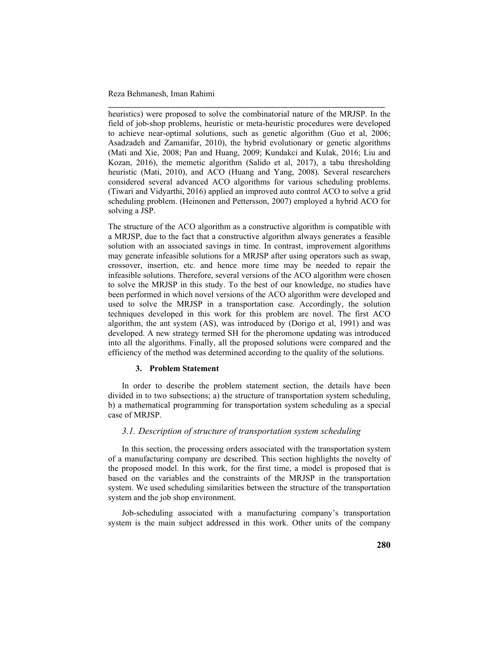heuristics) were proposed to solve the combinatorial nature of the MRJSP. In the field of job-shop problems, heuristic or meta-heuristic procedures were developed to achieve near-optimal solutions, such as genetic algorithm (Guo et al, 2006; Asadzadeh and Zamanifar, 2010), the hybrid evolutionary or genetic algorithms (Mati and Xie, 2008; Pan and Huang, 2009; Kundakci and Kulak, 2016; Liu and Kozan, 2016), the memetic algorithm (Salido et al, 2017), a tabu thresholding heuristic (Mati, 2010), and ACO (Huang and Yang, 2008). Several researchers considered several advanced ACO algorithms for various scheduling problems. (Tiwari and Vidyarthi, 2016) applied an improved auto control ACO to solve a grid scheduling problem. (Heinonen and Pettersson, 2007) employed a hybrid ACO for solving a JSP.

\_\_\_\_\_\_\_\_\_\_\_\_\_\_\_\_\_\_\_\_\_\_\_\_\_\_\_\_\_\_\_\_\_\_\_\_\_\_\_\_\_\_\_\_\_\_\_\_\_\_\_\_\_\_\_\_\_\_\_\_\_\_\_\_\_\_

The structure of the ACO algorithm as a constructive algorithm is compatible with a MRJSP, due to the fact that a constructive algorithm always generates a feasible solution with an associated savings in time. In contrast, improvement algorithms may generate infeasible solutions for a MRJSP after using operators such as swap, crossover, insertion, etc. and hence more time may be needed to repair the infeasible solutions. Therefore, several versions of the ACO algorithm were chosen to solve the MRJSP in this study. To the best of our knowledge, no studies have been performed in which novel versions of the ACO algorithm were developed and used to solve the MRJSP in a transportation case. Accordingly, the solution techniques developed in this work for this problem are novel. The first ACO algorithm, the ant system (AS), was introduced by (Dorigo et al, 1991) and was developed. A new strategy termed SH for the pheromone updating was introduced into all the algorithms. Finally, all the proposed solutions were compared and the efficiency of the method was determined according to the quality of the solutions.

### **3. Problem Statement**

In order to describe the problem statement section, the details have been divided in to two subsections; a) the structure of transportation system scheduling, b) a mathematical programming for transportation system scheduling as a special case of MRJSP.

# *3.1. Description of structure of transportation system scheduling*

In this section, the processing orders associated with the transportation system of a manufacturing company are described. This section highlights the novelty of the proposed model. In this work, for the first time, a model is proposed that is based on the variables and the constraints of the MRJSP in the transportation system. We used scheduling similarities between the structure of the transportation system and the job shop environment.

Job-scheduling associated with a manufacturing company's transportation system is the main subject addressed in this work. Other units of the company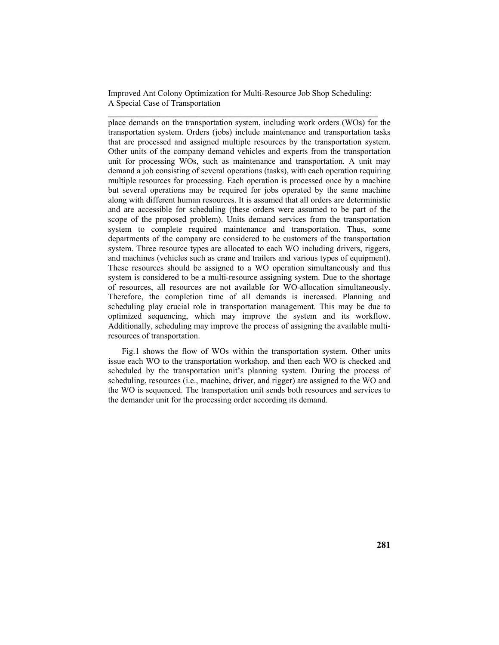place demands on the transportation system, including work orders (WOs) for the transportation system. Orders (jobs) include maintenance and transportation tasks that are processed and assigned multiple resources by the transportation system. Other units of the company demand vehicles and experts from the transportation unit for processing WOs, such as maintenance and transportation. A unit may demand a job consisting of several operations (tasks), with each operation requiring multiple resources for processing. Each operation is processed once by a machine but several operations may be required for jobs operated by the same machine along with different human resources. It is assumed that all orders are deterministic and are accessible for scheduling (these orders were assumed to be part of the scope of the proposed problem). Units demand services from the transportation system to complete required maintenance and transportation. Thus, some departments of the company are considered to be customers of the transportation system. Three resource types are allocated to each WO including drivers, riggers, and machines (vehicles such as crane and trailers and various types of equipment). These resources should be assigned to a WO operation simultaneously and this system is considered to be a multi-resource assigning system. Due to the shortage of resources, all resources are not available for WO-allocation simultaneously. Therefore, the completion time of all demands is increased. Planning and scheduling play crucial role in transportation management. This may be due to optimized sequencing, which may improve the system and its workflow. Additionally, scheduling may improve the process of assigning the available multiresources of transportation.

Fig.1 shows the flow of WOs within the transportation system. Other units issue each WO to the transportation workshop, and then each WO is checked and scheduled by the transportation unit's planning system. During the process of scheduling, resources (i.e., machine, driver, and rigger) are assigned to the WO and the WO is sequenced. The transportation unit sends both resources and services to the demander unit for the processing order according its demand.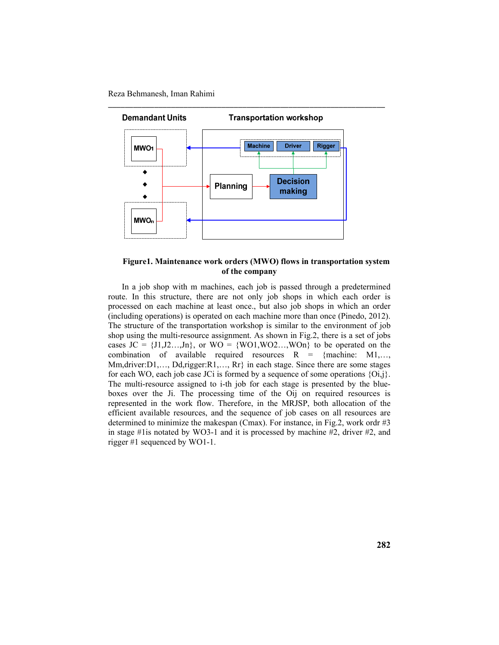

### **Figure1. Maintenance work orders (MWO) flows in transportation system of the company**

In a job shop with m machines, each job is passed through a predetermined route. In this structure, there are not only job shops in which each order is processed on each machine at least once., but also job shops in which an order (including operations) is operated on each machine more than once (Pinedo, 2012). The structure of the transportation workshop is similar to the environment of job shop using the multi-resource assignment. As shown in Fig.2, there is a set of jobs cases  $JC = \{J1, J2, \ldots, Jn\}$ , or  $WO = \{WO1, WO2, \ldots, WOn\}$  to be operated on the combination of available required resources  $R = \{machine: M1, \ldots, m\}$ Mm,driver:D1,…, Dd,rigger:R1,…, Rr} in each stage. Since there are some stages for each WO, each job case JCi is formed by a sequence of some operations  $\{O_{i,j}\}$ . The multi-resource assigned to i-th job for each stage is presented by the blueboxes over the Ji. The processing time of the Oij on required resources is represented in the work flow. Therefore, in the MRJSP, both allocation of the efficient available resources, and the sequence of job cases on all resources are determined to minimize the makespan (Cmax). For instance, in Fig.2, work ordr #3 in stage #1is notated by WO3-1 and it is processed by machine #2, driver #2, and rigger #1 sequenced by WO1-1.

**282**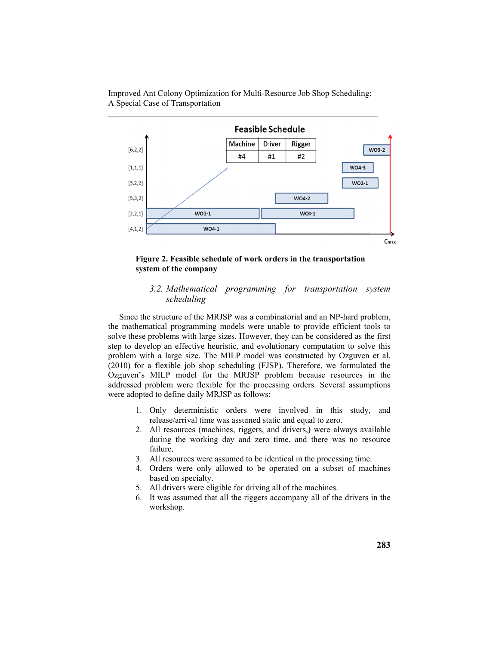Improved Ant Colony Optimization for Multi-Resource Job Shop Scheduling: A Special Case of Transportation



### Figure 2. Feasible schedule of work orders in the transportation system of the company

# 3.2. Mathematical programming for transportation system scheduling

Since the structure of the MRJSP was a combinatorial and an NP-hard problem, the mathematical programming models were unable to provide efficient tools to solve these problems with large sizes. However, they can be considered as the first step to develop an effective heuristic, and evolutionary computation to solve this problem with a large size. The MILP model was constructed by Ozguven et al. (2010) for a flexible job shop scheduling (FJSP). Therefore, we formulated the Ozguven's MILP model for the MRJSP problem because resources in the addressed problem were flexible for the processing orders. Several assumptions were adopted to define daily MRJSP as follows:

- 1. Only deterministic orders were involved in this study, and release/arrival time was assumed static and equal to zero.
- 2. All resources (machines, riggers, and drivers,) were always available during the working day and zero time, and there was no resource failure.
- 3. All resources were assumed to be identical in the processing time.
- 4. Orders were only allowed to be operated on a subset of machines based on specialty.
- 5. All drivers were eligible for driving all of the machines.
- 6. It was assumed that all the riggers accompany all of the drivers in the workshop.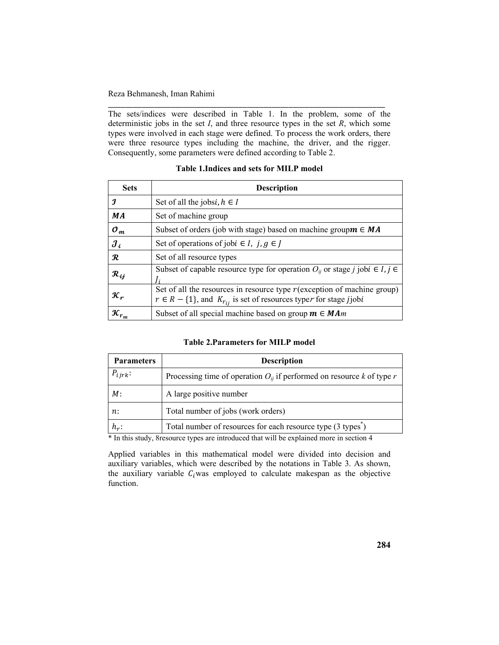The sets/indices were described in Table 1. In the problem, some of the deterministic jobs in the set  $I$ , and three resource types in the set  $R$ , which some types were involved in each stage were defined. To process the work orders, there were three resource types including the machine, the driver, and the rigger. Consequently, some parameters were defined according to Table 2.

# Table 1. Indices and sets for MILP model

| <b>Sets</b>                      | <b>Description</b>                                                                                                                                           |
|----------------------------------|--------------------------------------------------------------------------------------------------------------------------------------------------------------|
| І                                | Set of all the jobsi, $h \in I$                                                                                                                              |
| <b>MA</b>                        | Set of machine group                                                                                                                                         |
| $\mathcal{O}_m$                  | Subset of orders (job with stage) based on machine group $m \in MA$                                                                                          |
| $\mathcal{J}_{\boldsymbol{i}}$   | Set of operations of jobi $\in I$ , j, $g \in J$                                                                                                             |
| $\boldsymbol{\mathcal{R}}$       | Set of all resource types                                                                                                                                    |
| $\mathcal{R}_{ij}$               | Subset of capable resource type for operation $O_{ii}$ or stage j jobi $\in I, j \in$                                                                        |
| $\pmb{\mathcal{K}}_{\bm r}$      | Set of all the resources in resource type $r$ (exception of machine group)<br>$r \in R - \{1\}$ , and $K_{r_{ij}}$ is set of resources typer for stage jjobi |
| $\boldsymbol{\mathcal{K}}_{r_m}$ | Subset of all special machine based on group $m \in MAm$                                                                                                     |

### **Table 2. Parameters for MILP model**

| <b>Parameters</b> | <b>Description</b>                                                         |
|-------------------|----------------------------------------------------------------------------|
| $P_{ijrk}$ :      | Processing time of operation $O_{ij}$ if performed on resource k of type r |
| M:                | A large positive number                                                    |
| n:                | Total number of jobs (work orders)                                         |
| $h_r$ :           | Total number of resources for each resource type (3 types <sup>*</sup> )   |

\* In this study, 8 resource types are introduced that will be explained more in section 4

Applied variables in this mathematical model were divided into decision and auxiliary variables, which were described by the notations in Table 3. As shown, the auxiliary variable  $C_i$ was employed to calculate makespan as the objective function.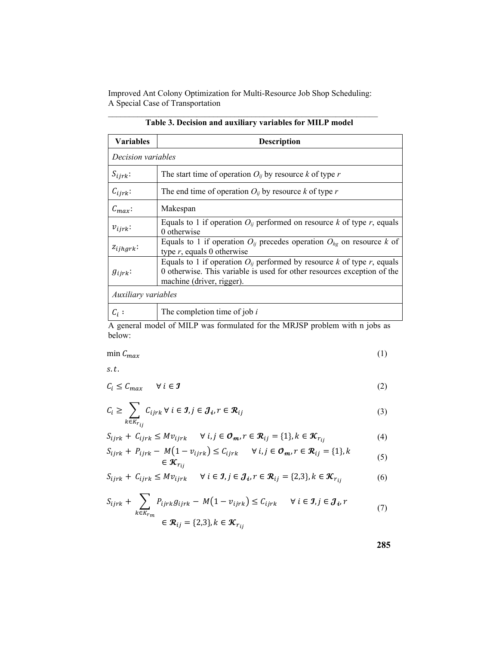| <b>Variables</b>      | <b>Description</b>                                                                                                                                                                  |  |  |  |
|-----------------------|-------------------------------------------------------------------------------------------------------------------------------------------------------------------------------------|--|--|--|
| Decision variables    |                                                                                                                                                                                     |  |  |  |
| $S_{ijrk}$            | The start time of operation $O_{ii}$ by resource k of type r                                                                                                                        |  |  |  |
| $C_{ijrk}$ :          | The end time of operation $O_{ii}$ by resource k of type r                                                                                                                          |  |  |  |
| $\mathcal{C}_{max}$ : | Makespan                                                                                                                                                                            |  |  |  |
| $v_{i\,j\,r\,k}$      | Equals to 1 if operation $O_{ij}$ performed on resource k of type r, equals<br>0 otherwise                                                                                          |  |  |  |
| $z_{ijhgrk}$ :        | Equals to 1 if operation $O_{ii}$ precedes operation $O_{he}$ on resource k of<br>type $r$ , equals 0 otherwise                                                                     |  |  |  |
| $g_{ijrk}$            | Equals to 1 if operation $O_{ii}$ performed by resource k of type r, equals<br>0 otherwise. This variable is used for other resources exception of the<br>machine (driver, rigger). |  |  |  |
| Auxiliary variables   |                                                                                                                                                                                     |  |  |  |
| $C_i$ :               | The completion time of job $i$                                                                                                                                                      |  |  |  |

|  |  |  |  |  |  |  | Table 3. Decision and auxiliary variables for MILP model |  |
|--|--|--|--|--|--|--|----------------------------------------------------------|--|
|  |  |  |  |  |  |  |                                                          |  |

A general model of MILP was formulated for the MRJSP problem with n jobs as below:

$$
\min \mathcal{C}_{max} \tag{1}
$$

 $s.t.$ 

 $C_i \leq C_{max}$   $\forall i \in \mathcal{I}$  (2)

$$
C_i \ge \sum_{k \in K_{r_{ij}}} C_{ijrk} \ \forall \ i \in \mathcal{I}, j \in \mathcal{J}_i, r \in \mathcal{R}_{ij}
$$
\n
$$
(3)
$$

$$
S_{ijrk} + C_{ijrk} \leq Mv_{ijrk} \qquad \forall i, j \in \mathcal{O}_m, r \in \mathcal{R}_{ij} = \{1\}, k \in \mathcal{K}_{r_{ij}}
$$
(4)

$$
S_{ijrk} + P_{ijrk} - M(1 - v_{ijrk}) \le C_{ijrk} \quad \forall i, j \in \mathcal{O}_m, r \in \mathcal{R}_{ij} = \{1\}, k
$$
  
 
$$
\in \mathcal{K}_{r_{ij}}
$$
 (5)

$$
S_{ijrk} + C_{ijrk} \le Mv_{ijrk} \quad \forall i \in \mathcal{J}, j \in \mathcal{J}_i, r \in \mathcal{R}_{ij} = \{2,3\}, k \in \mathcal{K}_{r_{ij}}
$$
(6)

$$
S_{ijrk} + \sum_{k \in K_{rm}} P_{ijrk} g_{ijrk} - M(1 - v_{ijrk}) \le C_{ijrk} \quad \forall i \in \mathcal{J}, j \in \mathcal{J}_i, r
$$
  

$$
\in \mathcal{R}_{ij} = \{2,3\}, k \in \mathcal{K}_{r_{ij}}
$$
 (7)

**285**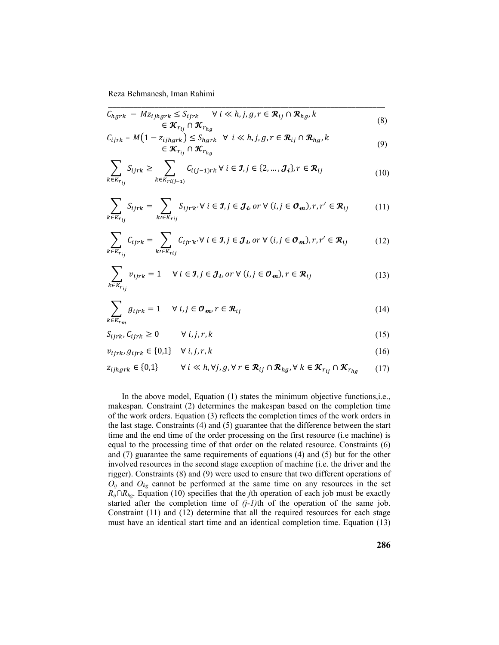$$
\overline{C_{hgrk} - Mz_{ijhgrk} \le S_{ijrk} \quad \forall i \ll h, j, g, r \in \mathcal{R}_{ij} \cap \mathcal{R}_{hg}, k}
$$
\n
$$
\in \mathcal{K}_{r_{ij}} \cap \mathcal{K}_{r_{hg}}
$$
\n
$$
C_{i,j} = M(1 - z_{i,j}) \le S_{i,j} \quad \forall i \ll h, j, q, r \in \mathcal{R}_{i,j} \cap \mathcal{R}_{i,k}
$$
\n
$$
(8)
$$

$$
C_{ijrk} - M(1 - z_{ijhgrk}) \leq S_{hgrk} \quad \forall \quad i \ll h, j, g, r \in \mathcal{R}_{ij} \cap \mathcal{R}_{hg}, k
$$
  

$$
\in \mathcal{K}_{r_{ij}} \cap \mathcal{K}_{r_{hg}}
$$
 (9)

$$
\sum_{k \in K_{r_{ij}}} S_{ijrk} \ge \sum_{k \in K_{ri(j-1)}} C_{i(j-1)rk} \ \forall \ i \in \mathcal{I}, j \in \{2, ..., \mathcal{J}_i\}, r \in \mathcal{R}_{ij}
$$
\n(10)

$$
\sum_{k \in K_{r_{ij}}} S_{ijrk} = \sum_{k \in K_{rij}} S_{ijrk'} \forall i \in \mathcal{I}, j \in \mathcal{J}_i, or \forall (i, j \in \mathcal{O}_m), r, r' \in \mathcal{R}_{ij}
$$
(11)

$$
\sum_{k \in K_{r_{ij}}} C_{ijrk} = \sum_{k' \in K_{rij}} C_{ijrk'} \forall i \in \mathcal{I}, j \in \mathcal{J}_i, or \forall (i, j \in \mathcal{O}_m), r, r' \in \mathcal{R}_{ij}
$$
(12)

$$
\sum_{k \in K_{r_{ij}}} v_{ijrk} = 1 \quad \forall i \in \mathcal{I}, j \in \mathcal{J}_i, or \forall (i, j \in \mathcal{O}_m), r \in \mathcal{R}_{ij}
$$
\n(13)

$$
\sum_{k \in K_{r_m}} g_{ijrk} = 1 \quad \forall \ i, j \in \mathcal{O}_m, r \in \mathcal{R}_{ij}
$$
\n(14)

$$
S_{ijrk}, C_{ijrk} \ge 0 \qquad \forall i, j, r, k \tag{15}
$$

$$
v_{ijrk}, g_{ijrk} \in \{0,1\} \quad \forall \ i, j, r, k \tag{16}
$$

$$
z_{ijhgrk} \in \{0,1\} \qquad \forall i \ll h, \forall j, g, \forall r \in \mathcal{R}_{ij} \cap \mathcal{R}_{hg}, \forall k \in \mathcal{K}_{r_{ij}} \cap \mathcal{K}_{r_{hg}} \qquad (17)
$$

In the above model, Equation (1) states the minimum objective functions, i.e., makespan. Constraint (2) determines the makespan based on the completion time of the work orders. Equation (3) reflects the completion times of the work orders in the last stage. Constraints (4) and (5) guarantee that the difference between the start time and the end time of the order processing on the first resource (i.e machine) is equal to the processing time of that order on the related resource. Constraints (6) and (7) guarantee the same requirements of equations (4) and (5) but for the other involved resources in the second stage exception of machine (i.e. the driver and the rigger). Constraints (8) and (9) were used to ensure that two different operations of  $O_{ij}$  and  $O_{hg}$  cannot be performed at the same time on any resources in the set *R<sub>ij</sub>*∩*R<sub>hg</sub>*. Equation (10) specifies that the *j*th operation of each job must be exactly started after the completion time of  $(j-1)$ th of the operation of the same job. Constraint (11) and (12) determine that all the required resources for each stage must have an identical start time and an identical completion time. Equation (13)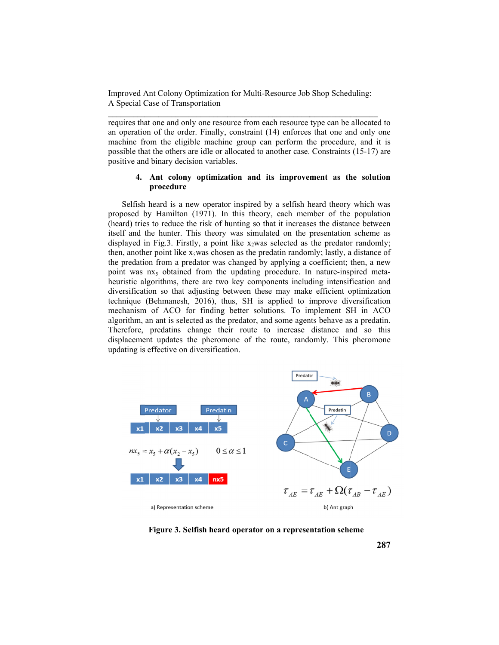Improved Ant Colony Optimization for Multi-Resource Job Shop Scheduling: A Special Case of Transportation

requires that one and only one resource from each resource type can be allocated to an operation of the order. Finally, constraint (14) enforces that one and only one machine from the eligible machine group can perform the procedure, and it is possible that the others are idle or allocated to another case. Constraints (15-17) are positive and binary decision variables.

## 4. Ant colony optimization and its improvement as the solution procedure

Selfish heard is a new operator inspired by a selfish heard theory which was proposed by Hamilton (1971). In this theory, each member of the population (heard) tries to reduce the risk of hunting so that it increases the distance between itself and the hunter. This theory was simulated on the presentation scheme as displayed in Fig.3. Firstly, a point like  $x_2$  was selected as the predator randomly; then, another point like x<sub>5</sub>was chosen as the predatin randomly; lastly, a distance of the predation from a predator was changed by applying a coefficient; then, a new point was nx<sub>5</sub> obtained from the updating procedure. In nature-inspired metaheuristic algorithms, there are two key components including intensification and diversification so that adjusting between these may make efficient optimization technique (Behmanesh, 2016), thus, SH is applied to improve diversification mechanism of ACO for finding better solutions. To implement SH in ACO algorithm, an ant is selected as the predator, and some agents behave as a predatin. Therefore, predatins change their route to increase distance and so this displacement updates the pheromone of the route, randomly. This pheromone updating is effective on diversification.



Figure 3. Selfish heard operator on a representation scheme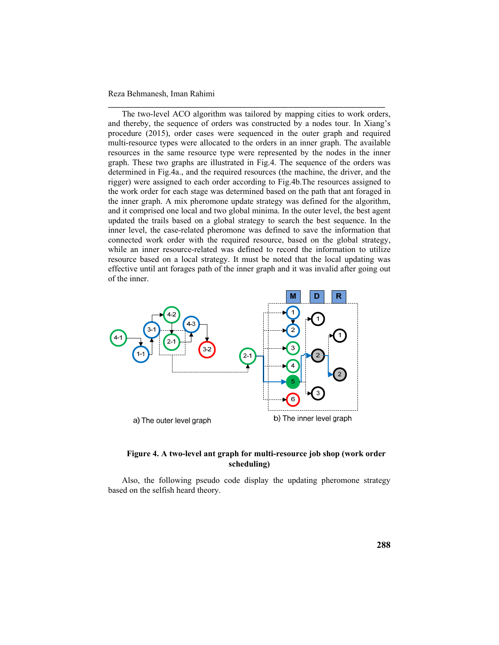The two-level ACO algorithm was tailored by mapping cities to work orders, and thereby, the sequence of orders was constructed by a nodes tour. In Xiang's procedure (2015), order cases were sequenced in the outer graph and required multi-resource types were allocated to the orders in an inner graph. The available resources in the same resource type were represented by the nodes in the inner graph. These two graphs are illustrated in Fig.4. The sequence of the orders was determined in Fig.4a., and the required resources (the machine, the driver, and the rigger) were assigned to each order according to Fig.4b.The resources assigned to the work order for each stage was determined based on the path that ant foraged in the inner graph. A mix pheromone update strategy was defined for the algorithm, and it comprised one local and two global minima. In the outer level, the best agent updated the trails based on a global strategy to search the best sequence. In the inner level, the case-related pheromone was defined to save the information that connected work order with the required resource, based on the global strategy, while an inner resource-related was defined to record the information to utilize resource based on a local strategy. It must be noted that the local updating was effective until ant forages path of the inner graph and it was invalid after going out of the inner.

\_\_\_\_\_\_\_\_\_\_\_\_\_\_\_\_\_\_\_\_\_\_\_\_\_\_\_\_\_\_\_\_\_\_\_\_\_\_\_\_\_\_\_\_\_\_\_\_\_\_\_\_\_\_\_\_\_\_\_\_\_\_\_\_\_\_



## **Figure 4. A two-level ant graph for multi-resource job shop (work order scheduling)**

Also, the following pseudo code display the updating pheromone strategy based on the selfish heard theory.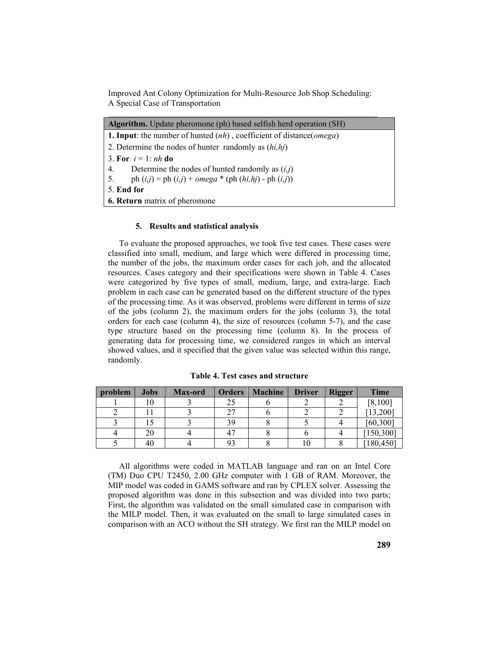Improved Ant Colony Optimization for Multi-Resource Job Shop Scheduling: A Special Case of Transportation

| <b>Algorithm.</b> Update pheromone (ph) based selfish herd operation (SH)              |  |  |  |  |  |
|----------------------------------------------------------------------------------------|--|--|--|--|--|
| <b>1. Input:</b> the number of hunted $(nh)$ , coefficient of distance( <i>omega</i> ) |  |  |  |  |  |
| 2. Determine the nodes of hunter randomly as $(hi, hj)$                                |  |  |  |  |  |
| 3. For $i = 1$ : nh do                                                                 |  |  |  |  |  |
| 4.<br>Determine the nodes of hunted randomly as $(i,j)$                                |  |  |  |  |  |
| 5. ph $(i,j) = ph (i,j) + omega * (ph (hi,hj) - ph (i,j))$                             |  |  |  |  |  |
| 5. End for                                                                             |  |  |  |  |  |
| <b>6. Return</b> matrix of pheromone                                                   |  |  |  |  |  |

#### **5. Results and statistical analysis**

To evaluate the proposed approaches, we took five test cases. These cases were classified into small, medium, and large which were differed in processing time, the number of the jobs, the maximum order cases for each job, and the allocated resources. Cases category and their specifications were shown in Table 4. Cases were categorized by five types of small, medium, large, and extra-large. Each problem in each case can be generated based on the different structure of the types of the processing time. As it was observed, problems were different in terms of size of the jobs (column 2), the maximum orders for the jobs (column 3), the total orders for each case (column 4), the size of resources (column 5-7), and the case type structure based on the processing time (column 8). In the process of generating data for processing time, we considered ranges in which an interval showed values, and it specified that the given value was selected within this range, randomly.

| problem | <b>Jobs</b> | Max-ord | <b>Orders</b> | <b>Machine</b> | <b>Driver</b> | <b>Rigger</b> | <b>Time</b> |
|---------|-------------|---------|---------------|----------------|---------------|---------------|-------------|
|         |             |         |               |                |               |               | [8,100]     |
|         |             |         | דר            |                |               |               | [13, 200]   |
|         |             |         | 39            |                |               |               | [60, 300]   |
|         | 20          |         |               |                |               |               | [150, 300]  |
|         | -46         |         |               |                | 10            |               | 180,450     |

**Table 4. Test cases and structure** 

All algorithms were coded in MATLAB language and ran on an Intel Core (TM) Duo CPU T2450, 2.00 GHz computer with 1 GB of RAM. Moreover, the MIP model was coded in GAMS software and ran by CPLEX solver. Assessing the proposed algorithm was done in this subsection and was divided into two parts; First, the algorithm was validated on the small simulated case in comparison with the MILP model. Then, it was evaluated on the small to large simulated cases in comparison with an ACO without the SH strategy. We first ran the MILP model on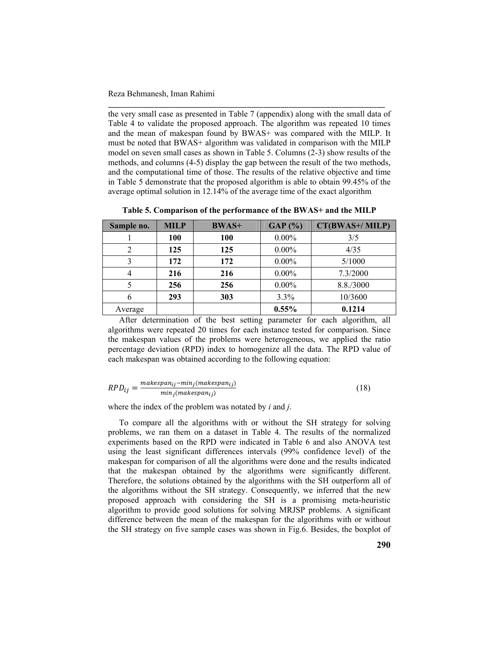the very small case as presented in Table 7 (appendix) along with the small data of Table 4 to validate the proposed approach. The algorithm was repeated 10 times and the mean of makespan found by BWAS+ was compared with the MILP. It must be noted that BWAS+ algorithm was validated in comparison with the MILP model on seven small cases as shown in Table 5. Columns (2-3) show results of the methods, and columns (4-5) display the gap between the result of the two methods, and the computational time of those. The results of the relative objective and time in Table 5 demonstrate that the proposed algorithm is able to obtain 99.45% of the average optimal solution in 12.14% of the average time of the exact algorithm

\_\_\_\_\_\_\_\_\_\_\_\_\_\_\_\_\_\_\_\_\_\_\_\_\_\_\_\_\_\_\_\_\_\_\_\_\_\_\_\_\_\_\_\_\_\_\_\_\_\_\_\_\_\_\_\_\_\_\_\_\_\_\_\_\_\_

| Sample no. | <b>MILP</b> | <b>BWAS+</b> | GAP(%)   | CT(BWAS+/MILP) |
|------------|-------------|--------------|----------|----------------|
|            | 100         | 100          | $0.00\%$ | 3/5            |
| 2          | 125         | 125          | $0.00\%$ | 4/35           |
| 3          | 172         | 172          | $0.00\%$ | 5/1000         |
| 4          | 216         | 216          | $0.00\%$ | 7.3/2000       |
|            | 256         | 256          | $0.00\%$ | 8.8./3000      |
| 6          | 293         | 303          | 3.3%     | 10/3600        |
| Average    |             |              | 0.55%    | 0.1214         |

**Table 5. Comparison of the performance of the BWAS+ and the MILP** 

After determination of the best setting parameter for each algorithm, all algorithms were repeated 20 times for each instance tested for comparison. Since the makespan values of the problems were heterogeneous, we applied the ratio percentage deviation (RPD) index to homogenize all the data. The RPD value of each makespan was obtained according to the following equation:

$$
RPD_{ij} = \frac{makespan_{ij} - min_j(makespan_{ij})}{min_j(makespan_{ij})}
$$
\n(18)

where the index of the problem was notated by *i* and *j*.

To compare all the algorithms with or without the SH strategy for solving problems, we ran them on a dataset in Table 4. The results of the normalized experiments based on the RPD were indicated in Table 6 and also ANOVA test using the least significant differences intervals (99% confidence level) of the makespan for comparison of all the algorithms were done and the results indicated that the makespan obtained by the algorithms were significantly different. Therefore, the solutions obtained by the algorithms with the SH outperform all of the algorithms without the SH strategy. Consequently, we inferred that the new proposed approach with considering the SH is a promising meta-heuristic algorithm to provide good solutions for solving MRJSP problems. A significant difference between the mean of the makespan for the algorithms with or without the SH strategy on five sample cases was shown in Fig.6. Besides, the boxplot of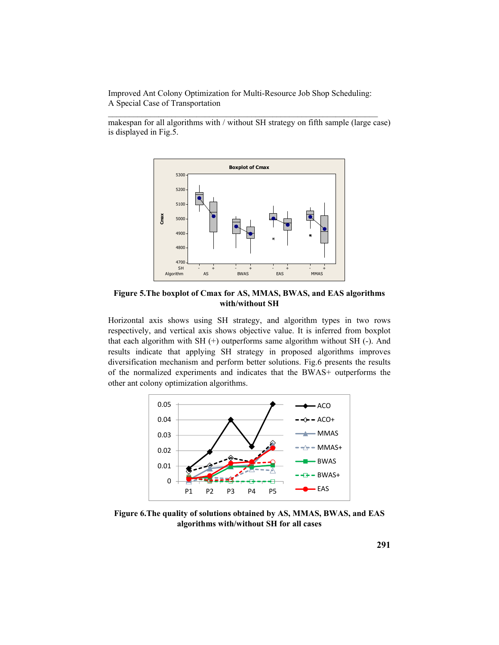makespan for all algorithms with / without SH strategy on fifth sample (large case) is displayed in Fig.5.



**Figure 5.The boxplot of Cmax for AS, MMAS, BWAS, and EAS algorithms with/without SH** 

Horizontal axis shows using SH strategy, and algorithm types in two rows respectively, and vertical axis shows objective value. It is inferred from boxplot that each algorithm with SH (+) outperforms same algorithm without SH (-). And results indicate that applying SH strategy in proposed algorithms improves diversification mechanism and perform better solutions. Fig.6 presents the results of the normalized experiments and indicates that the BWAS+ outperforms the other ant colony optimization algorithms.



**Figure 6.The quality of solutions obtained by AS, MMAS, BWAS, and EAS algorithms with/without SH for all cases**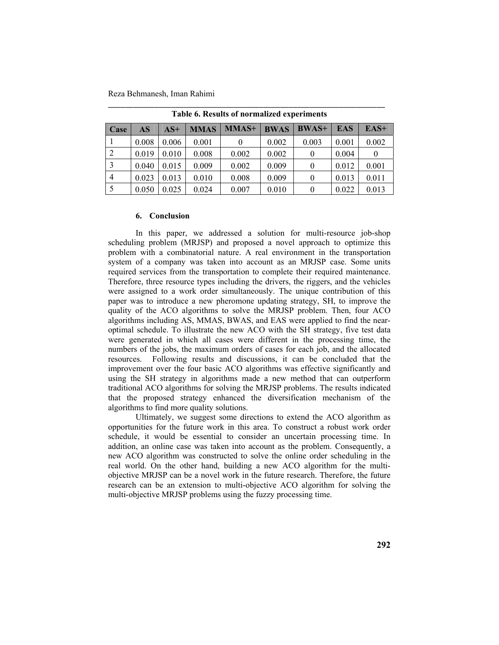| Case           | AS    | $AS+$ | <b>MMAS</b> | MMAS+ | <b>BWAS</b> | <b>BWAS+</b> | <b>EAS</b> | $EAS+$ |
|----------------|-------|-------|-------------|-------|-------------|--------------|------------|--------|
|                | 0.008 | 0.006 | 0.001       |       | 0.002       | 0.003        | 0.001      | 0.002  |
| 2              | 0.019 | 0.010 | 0.008       | 0.002 | 0.002       |              | 0.004      |        |
| $\overline{3}$ | 0.040 | 0.015 | 0.009       | 0.002 | 0.009       |              | 0.012      | 0.001  |
| $\overline{A}$ | 0.023 | 0.013 | 0.010       | 0.008 | 0.009       |              | 0.013      | 0.011  |
| - 5            | 0.050 | 0.025 | 0.024       | 0.007 | 0.010       | $^{(1)}$     | 0.022      | 0.013  |

\_\_\_\_\_\_\_\_\_\_\_\_\_\_\_\_\_\_\_\_\_\_\_\_\_\_\_\_\_\_\_\_\_\_\_\_\_\_\_\_\_\_\_\_\_\_\_\_\_\_\_\_\_\_\_\_\_\_\_\_\_\_\_\_\_\_ **Table 6. Results of normalized experiments** 

### **6. Conclusion**

In this paper, we addressed a solution for multi-resource job-shop scheduling problem (MRJSP) and proposed a novel approach to optimize this problem with a combinatorial nature. A real environment in the transportation system of a company was taken into account as an MRJSP case. Some units required services from the transportation to complete their required maintenance. Therefore, three resource types including the drivers, the riggers, and the vehicles were assigned to a work order simultaneously. The unique contribution of this paper was to introduce a new pheromone updating strategy, SH, to improve the quality of the ACO algorithms to solve the MRJSP problem. Then, four ACO algorithms including AS, MMAS, BWAS, and EAS were applied to find the nearoptimal schedule. To illustrate the new ACO with the SH strategy, five test data were generated in which all cases were different in the processing time, the numbers of the jobs, the maximum orders of cases for each job, and the allocated resources. Following results and discussions, it can be concluded that the improvement over the four basic ACO algorithms was effective significantly and using the SH strategy in algorithms made a new method that can outperform traditional ACO algorithms for solving the MRJSP problems. The results indicated that the proposed strategy enhanced the diversification mechanism of the algorithms to find more quality solutions.

Ultimately, we suggest some directions to extend the ACO algorithm as opportunities for the future work in this area. To construct a robust work order schedule, it would be essential to consider an uncertain processing time. In addition, an online case was taken into account as the problem. Consequently, a new ACO algorithm was constructed to solve the online order scheduling in the real world. On the other hand, building a new ACO algorithm for the multiobjective MRJSP can be a novel work in the future research. Therefore, the future research can be an extension to multi-objective ACO algorithm for solving the multi-objective MRJSP problems using the fuzzy processing time.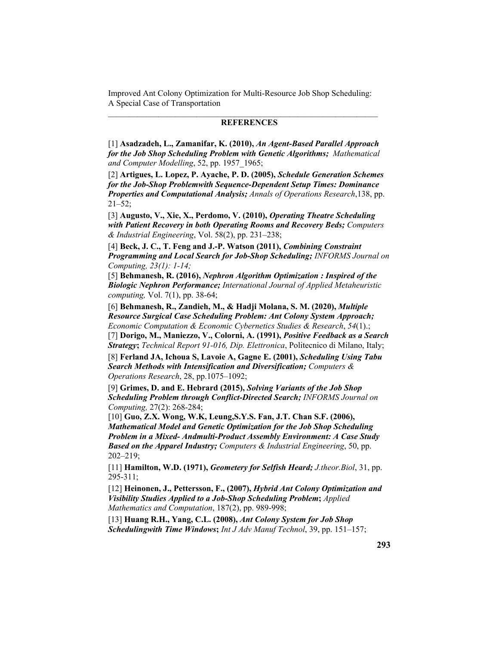### **REFERENCES**

[1] **Asadzadeh, L., Zamanifar, K. (2010),** *An Agent-Based Parallel Approach for the Job Shop Scheduling Problem with Genetic Algorithms; Mathematical and Computer Modelling*, 52, pp. 1957\_1965;

[2] **Artigues, L. Lopez, P. Ayache, P. D. (2005),** *Schedule Generation Schemes for the Job-Shop Problemwith Sequence-Dependent Setup Times: Dominance Properties and Computational Analysis; Annals of Operations Research*,138, pp.  $21 - 52$ ;

[3] **Augusto, V., Xie, X., Perdomo, V. (2010),** *Operating Theatre Scheduling with Patient Recovery in both Operating Rooms and Recovery Beds; Computers & Industrial Engineering*, Vol. 58(2), pp. 231–238;

[4] **Beck, J. C., T. Feng and J.-P. Watson (2011),** *Combining Constraint Programming and Local Search for Job-Shop Scheduling; INFORMS Journal on Computing, 23(1): 1-14;*

[5] **Behmanesh, R. (2016),** *Nephron Algorithm Optimization : Inspired of the Biologic Nephron Performance; International Journal of Applied Metaheuristic computing,* Vol. 7(1), pp. 38-64;

[6] **Behmanesh, R., Zandieh, M., & Hadji Molana, S. M. (2020),** *Multiple Resource Surgical Case Scheduling Problem: Ant Colony System Approach; Economic Computation & Economic Cybernetics Studies & Research*, *54*(1).; [7] **Dorigo, M., Maniezzo, V., Colorni, A. (1991),** *Positive Feedback as a Search Strategy***;** *Technical Report 91-016, Dip. Elettronica*, Politecnico di Milano, Italy;

[8] **Ferland JA, Ichoua S, Lavoie A, Gagne E. (2001),** *Scheduling Using Tabu Search Methods with Intensification and Diversification; Computers & Operations Research*, 28, pp.1075–1092;

[9] **Grimes, D. and E. Hebrard (2015),** *Solving Variants of the Job Shop Scheduling Problem through Conflict-Directed Search; INFORMS Journal on Computing,* 27(2): 268-284;

[10] **Guo, Z.X. Wong, W.K, Leung,S.Y.S. Fan, J.T. Chan S.F. (2006),**  *Mathematical Model and Genetic Optimization for the Job Shop Scheduling Problem in a Mixed- Andmulti-Product Assembly Environment: A Case Study Based on the Apparel Industry; Computers & Industrial Engineering*, 50, pp. 202–219;

[11] **Hamilton, W.D. (1971),** *Geometery for Selfish Heard; J.theor.Biol*, 31, pp. 295-311;

[12] **Heinonen, J., Pettersson, F., (2007),** *Hybrid Ant Colony Optimization and Visibility Studies Applied to a Job-Shop Scheduling Problem***;** *Applied Mathematics and Computation*, 187(2), pp. 989-998;

[13] **Huang R.H., Yang, C.L. (2008),** *Ant Colony System for Job Shop Schedulingwith Time Windows***;** *Int J Adv Manuf Technol*, 39, pp. 151–157;